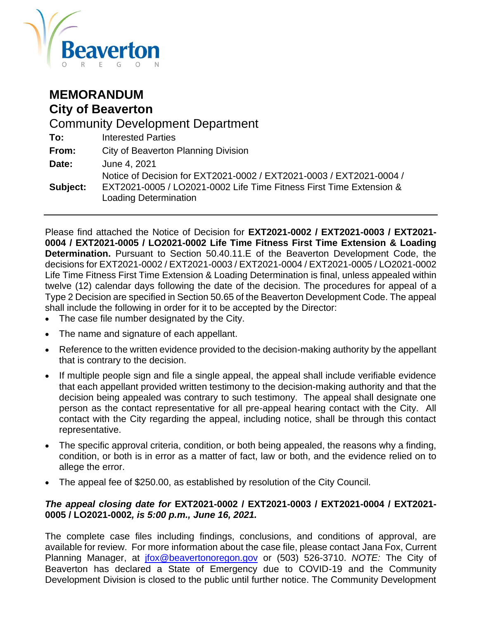

## **MEMORANDUM City of Beaverton**

Community Development Department **To:** Interested Parties **From:** City of Beaverton Planning Division **Date:** June 4, 2021 **Subject:** Notice of Decision for EXT2021-0002 / EXT2021-0003 / EXT2021-0004 / EXT2021-0005 / LO2021-0002 Life Time Fitness First Time Extension & Loading Determination

Please find attached the Notice of Decision for **EXT2021-0002 / EXT2021-0003 / EXT2021- 0004 / EXT2021-0005 / LO2021-0002 Life Time Fitness First Time Extension & Loading Determination.** Pursuant to Section 50.40.11.E of the Beaverton Development Code, the decisions for EXT2021-0002 / EXT2021-0003 / EXT2021-0004 / EXT2021-0005 / LO2021-0002 Life Time Fitness First Time Extension & Loading Determination is final, unless appealed within twelve (12) calendar days following the date of the decision. The procedures for appeal of a Type 2 Decision are specified in Section 50.65 of the Beaverton Development Code. The appeal shall include the following in order for it to be accepted by the Director:

- The case file number designated by the City.
- The name and signature of each appellant.
- Reference to the written evidence provided to the decision-making authority by the appellant that is contrary to the decision.
- If multiple people sign and file a single appeal, the appeal shall include verifiable evidence that each appellant provided written testimony to the decision-making authority and that the decision being appealed was contrary to such testimony. The appeal shall designate one person as the contact representative for all pre-appeal hearing contact with the City. All contact with the City regarding the appeal, including notice, shall be through this contact representative.
- The specific approval criteria, condition, or both being appealed, the reasons why a finding, condition, or both is in error as a matter of fact, law or both, and the evidence relied on to allege the error.
- The appeal fee of \$250.00, as established by resolution of the City Council.

#### *The appeal closing date for* **EXT2021-0002 / EXT2021-0003 / EXT2021-0004 / EXT2021- 0005 / LO2021-0002***, is 5:00 p.m., June 16, 2021.*

The complete case files including findings, conclusions, and conditions of approval, are available for review. For more information about the case file, please contact Jana Fox, Current Planning Manager, at [jfox@beavertonoregon.gov](mailto:jfox@beavertonoregon.gov) or (503) 526-3710. *NOTE:* The City of Beaverton has declared a State of Emergency due to COVID-19 and the Community Development Division is closed to the public until further notice. The Community Development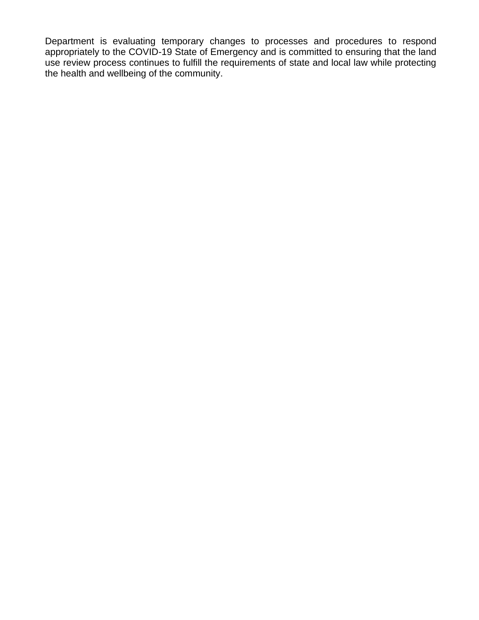Department is evaluating temporary changes to processes and procedures to respond appropriately to the COVID-19 State of Emergency and is committed to ensuring that the land use review process continues to fulfill the requirements of state and local law while protecting the health and wellbeing of the community.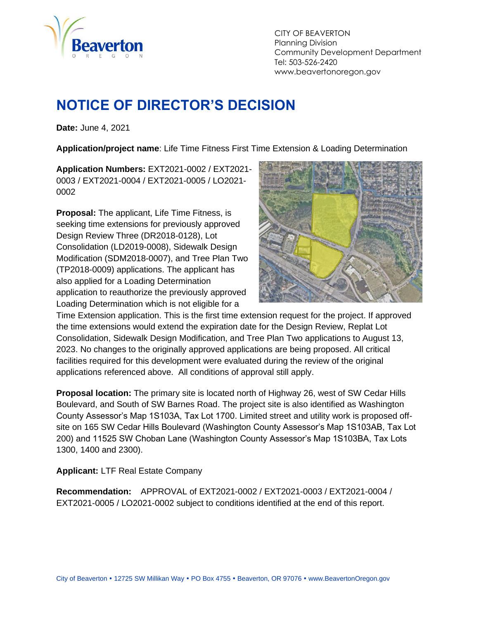

CITY OF BEAVERTON Planning Division Community Development Department Tel: 503-526-2420 www.beavertonoregon.gov

# <span id="page-2-0"></span>**NOTICE OF DIRECTOR'S DECISION**

**Date:** June 4, 2021

**Application/project name**: Life Time Fitness First Time Extension & Loading Determination

**Application Numbers:** EXT2021-0002 / EXT2021- 0003 / EXT2021-0004 / EXT2021-0005 / LO2021- 0002

**Proposal:** The applicant, Life Time Fitness, is seeking time extensions for previously approved Design Review Three (DR2018-0128), Lot Consolidation (LD2019-0008), Sidewalk Design Modification (SDM2018-0007), and Tree Plan Two (TP2018-0009) applications. The applicant has also applied for a Loading Determination application to reauthorize the previously approved Loading Determination which is not eligible for a



Time Extension application. This is the first time extension request for the project. If approved the time extensions would extend the expiration date for the Design Review, Replat Lot Consolidation, Sidewalk Design Modification, and Tree Plan Two applications to August 13, 2023. No changes to the originally approved applications are being proposed. All critical facilities required for this development were evaluated during the review of the original applications referenced above. All conditions of approval still apply.

**Proposal location:** The primary site is located north of Highway 26, west of SW Cedar Hills Boulevard, and South of SW Barnes Road. The project site is also identified as Washington County Assessor's Map 1S103A, Tax Lot 1700. Limited street and utility work is proposed offsite on 165 SW Cedar Hills Boulevard (Washington County Assessor's Map 1S103AB, Tax Lot 200) and 11525 SW Choban Lane (Washington County Assessor's Map 1S103BA, Tax Lots 1300, 1400 and 2300).

**Applicant:** LTF Real Estate Company

**Recommendation:** APPROVAL of EXT2021-0002 / EXT2021-0003 / EXT2021-0004 / EXT2021-0005 / LO2021-0002 subject to conditions identified at the end of this report.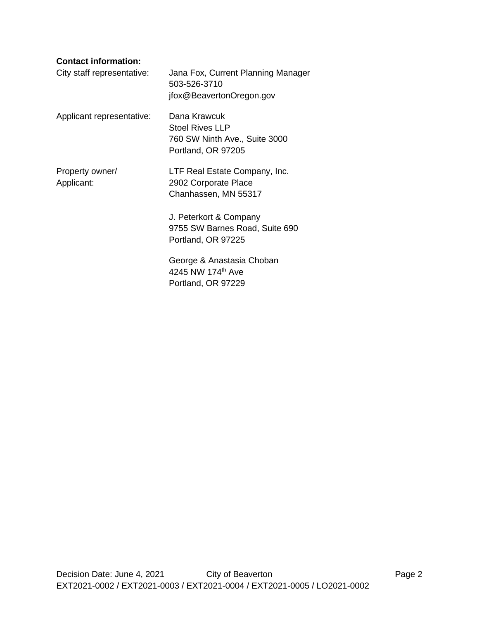#### **Contact information:**

| City staff representative:    | Jana Fox, Current Planning Manager<br>503-526-3710<br>jfox@BeavertonOregon.gov                |
|-------------------------------|-----------------------------------------------------------------------------------------------|
| Applicant representative:     | Dana Krawcuk<br><b>Stoel Rives LLP</b><br>760 SW Ninth Ave., Suite 3000<br>Portland, OR 97205 |
| Property owner/<br>Applicant: | LTF Real Estate Company, Inc.<br>2902 Corporate Place<br>Chanhassen, MN 55317                 |
|                               | J. Peterkort & Company<br>9755 SW Barnes Road, Suite 690<br>Portland, OR 97225                |
|                               | George & Anastasia Choban<br>4245 NW 174th Ave<br>Portland, OR 97229                          |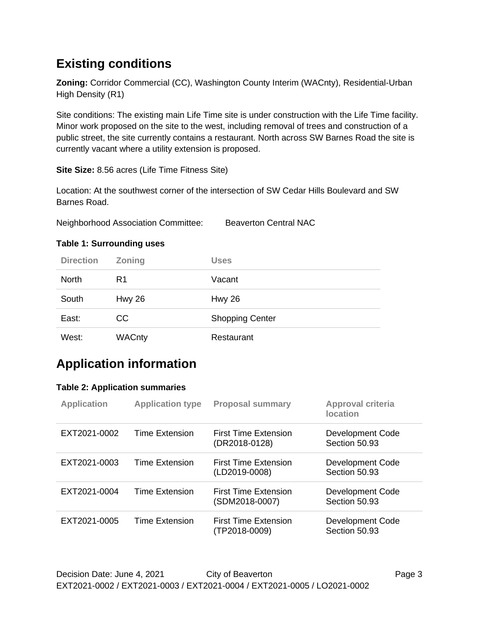# **Existing conditions**

**Zoning:** Corridor Commercial (CC), Washington County Interim (WACnty), Residential-Urban High Density (R1)

Site conditions: The existing main Life Time site is under construction with the Life Time facility. Minor work proposed on the site to the west, including removal of trees and construction of a public street, the site currently contains a restaurant. North across SW Barnes Road the site is currently vacant where a utility extension is proposed.

**Site Size:** 8.56 acres (Life Time Fitness Site)

Location: At the southwest corner of the intersection of SW Cedar Hills Boulevard and SW Barnes Road.

Neighborhood Association Committee: Beaverton Central NAC

# **Direction Zoning Uses** North R1 Vacant South Hwy 26 Hwy 26 East: CC CC Shopping Center West: WACnty Restaurant

#### **Table 1: Surrounding uses**

# **Application information**

#### **Table 2: Application summaries**

| <b>Application</b> | <b>Application type</b> | <b>Proposal summary</b>                      | <b>Approval criteria</b><br><b>location</b> |
|--------------------|-------------------------|----------------------------------------------|---------------------------------------------|
| EXT2021-0002       | Time Extension          | <b>First Time Extension</b><br>(DR2018-0128) | <b>Development Code</b><br>Section 50.93    |
| EXT2021-0003       | Time Extension          | First Time Extension<br>(LD2019-0008)        | <b>Development Code</b><br>Section 50.93    |
| EXT2021-0004       | Time Extension          | First Time Extension<br>(SDM2018-0007)       | <b>Development Code</b><br>Section 50.93    |
| EXT2021-0005       | Time Extension          | First Time Extension<br>(TP2018-0009)        | Development Code<br>Section 50.93           |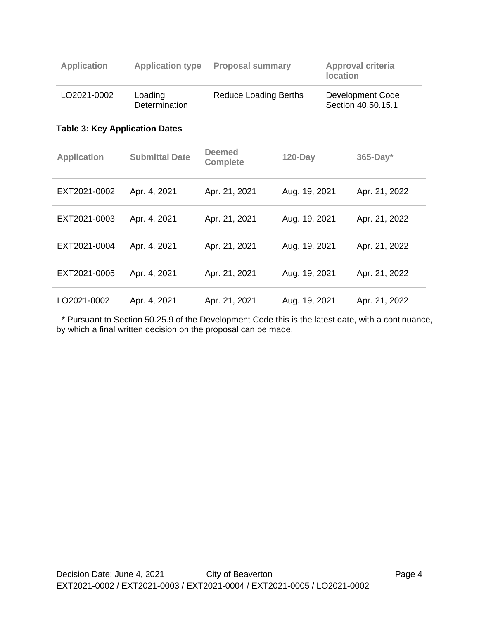| <b>Application</b>                    | <b>Application type</b>  | <b>Proposal summary</b>          |               | <b>location</b> | <b>Approval criteria</b>               |
|---------------------------------------|--------------------------|----------------------------------|---------------|-----------------|----------------------------------------|
| LO2021-0002                           | Loading<br>Determination | <b>Reduce Loading Berths</b>     |               |                 | Development Code<br>Section 40.50.15.1 |
| <b>Table 3: Key Application Dates</b> |                          |                                  |               |                 |                                        |
| <b>Application</b>                    | <b>Submittal Date</b>    | <b>Deemed</b><br><b>Complete</b> | $120$ -Day    |                 | $365$ -Day*                            |
| EXT2021-0002                          | Apr. 4, 2021             | Apr. 21, 2021                    | Aug. 19, 2021 |                 | Apr. 21, 2022                          |
| EXT2021-0003                          | Apr. 4, 2021             | Apr. 21, 2021                    | Aug. 19, 2021 |                 | Apr. 21, 2022                          |
| EXT2021-0004                          | Apr. 4, 2021             | Apr. 21, 2021                    | Aug. 19, 2021 |                 | Apr. 21, 2022                          |
| EXT2021-0005                          | Apr. 4, 2021             | Apr. 21, 2021                    | Aug. 19, 2021 |                 | Apr. 21, 2022                          |
| LO2021-0002                           | Apr. 4, 2021             | Apr. 21, 2021                    | Aug. 19, 2021 |                 | Apr. 21, 2022                          |

 \* Pursuant to Section 50.25.9 of the Development Code this is the latest date, with a continuance, by which a final written decision on the proposal can be made.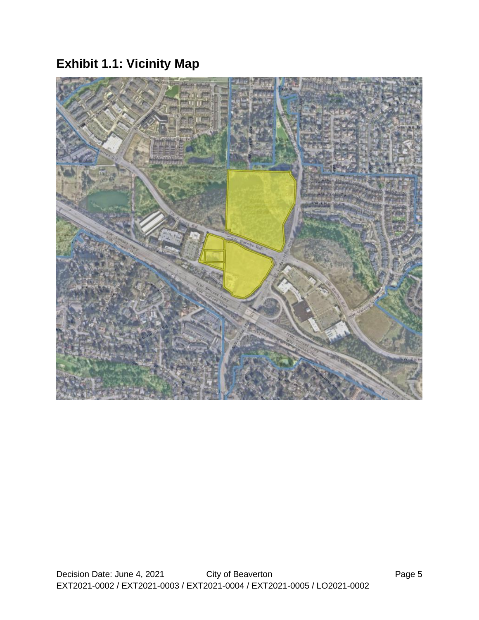# **Exhibit 1.1: Vicinity Map**

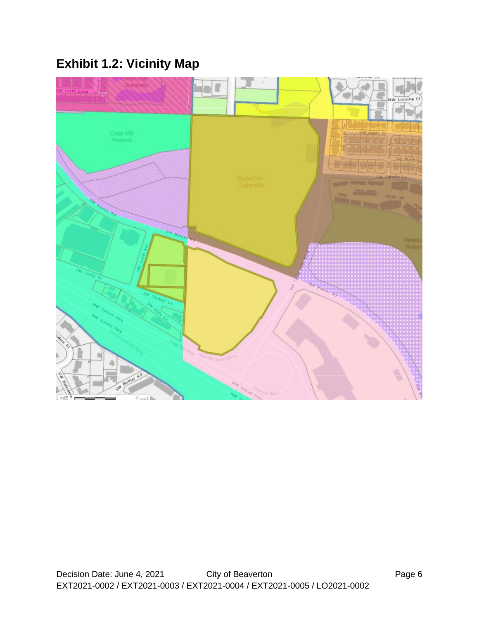# **Exhibit 1.2: Vicinity Map**

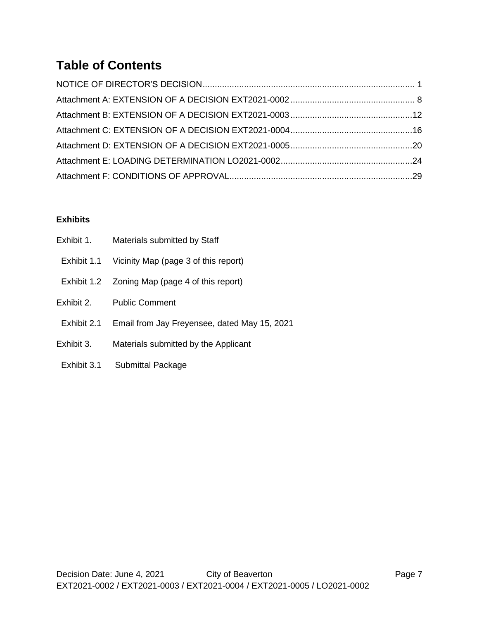# **Table of Contents**

#### **Exhibits**

| Exhibit 1.  | Materials submitted by Staff                   |
|-------------|------------------------------------------------|
| Exhibit 1.1 | Vicinity Map (page 3 of this report)           |
|             | Exhibit 1.2 Zoning Map (page 4 of this report) |
| Exhibit 2.  | <b>Public Comment</b>                          |
| Exhibit 2.1 | Email from Jay Freyensee, dated May 15, 2021   |
| Exhibit 3.  | Materials submitted by the Applicant           |
| Exhibit 3.1 | <b>Submittal Package</b>                       |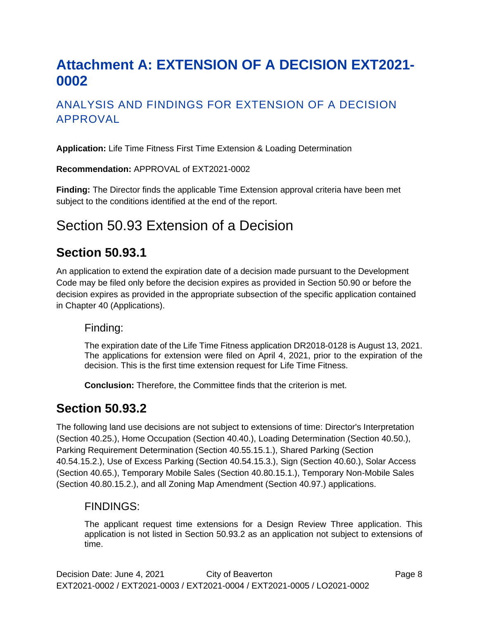# <span id="page-9-0"></span>**Attachment A: EXTENSION OF A DECISION EXT2021- 0002**

## ANALYSIS AND FINDINGS FOR EXTENSION OF A DECISION APPROVAL

**Application:** Life Time Fitness First Time Extension & Loading Determination

**Recommendation:** APPROVAL of EXT2021-0002

**Finding:** The Director finds the applicable Time Extension approval criteria have been met subject to the conditions identified at the end of the report.

# Section 50.93 Extension of a Decision

## **Section 50.93.1**

An application to extend the expiration date of a decision made pursuant to the Development Code may be filed only before the decision expires as provided in Section 50.90 or before the decision expires as provided in the appropriate subsection of the specific application contained in Chapter 40 (Applications).

#### Finding:

The expiration date of the Life Time Fitness application DR2018-0128 is August 13, 2021. The applications for extension were filed on April 4, 2021, prior to the expiration of the decision. This is the first time extension request for Life Time Fitness.

**Conclusion:** Therefore, the Committee finds that the criterion is met.

## **Section 50.93.2**

The following land use decisions are not subject to extensions of time: Director's Interpretation (Section 40.25.), Home Occupation (Section 40.40.), Loading Determination (Section 40.50.), Parking Requirement Determination (Section 40.55.15.1.), Shared Parking (Section 40.54.15.2.), Use of Excess Parking (Section 40.54.15.3.), Sign (Section 40.60.), Solar Access (Section 40.65.), Temporary Mobile Sales (Section 40.80.15.1.), Temporary Non-Mobile Sales (Section 40.80.15.2.), and all Zoning Map Amendment (Section 40.97.) applications.

#### FINDINGS:

The applicant request time extensions for a Design Review Three application. This application is not listed in Section 50.93.2 as an application not subject to extensions of time.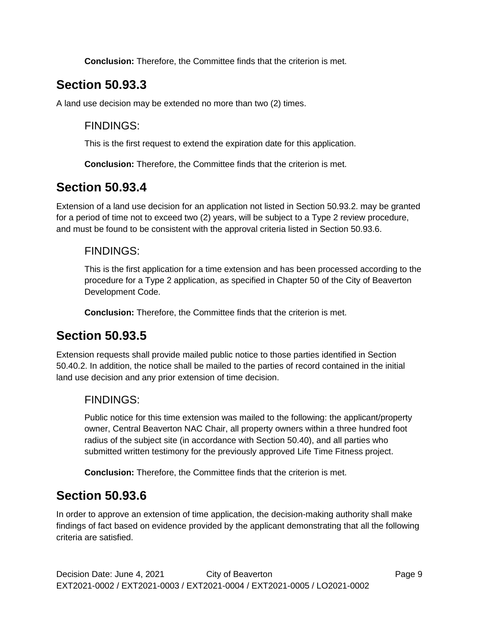**Conclusion:** Therefore, the Committee finds that the criterion is met.

## **Section 50.93.3**

A land use decision may be extended no more than two (2) times.

#### FINDINGS:

This is the first request to extend the expiration date for this application.

**Conclusion:** Therefore, the Committee finds that the criterion is met.

## **Section 50.93.4**

Extension of a land use decision for an application not listed in Section 50.93.2. may be granted for a period of time not to exceed two (2) years, will be subject to a Type 2 review procedure, and must be found to be consistent with the approval criteria listed in Section 50.93.6.

#### FINDINGS:

This is the first application for a time extension and has been processed according to the procedure for a Type 2 application, as specified in Chapter 50 of the City of Beaverton Development Code.

**Conclusion:** Therefore, the Committee finds that the criterion is met.

## **Section 50.93.5**

Extension requests shall provide mailed public notice to those parties identified in Section 50.40.2. In addition, the notice shall be mailed to the parties of record contained in the initial land use decision and any prior extension of time decision.

### FINDINGS:

Public notice for this time extension was mailed to the following: the applicant/property owner, Central Beaverton NAC Chair, all property owners within a three hundred foot radius of the subject site (in accordance with Section 50.40), and all parties who submitted written testimony for the previously approved Life Time Fitness project.

**Conclusion:** Therefore, the Committee finds that the criterion is met.

## **Section 50.93.6**

In order to approve an extension of time application, the decision-making authority shall make findings of fact based on evidence provided by the applicant demonstrating that all the following criteria are satisfied.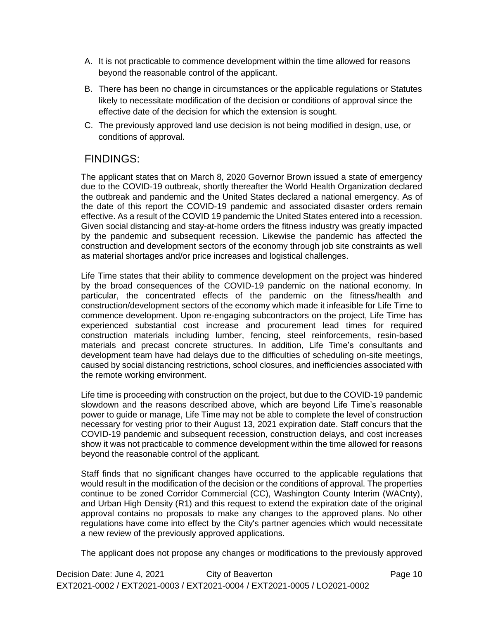- A. It is not practicable to commence development within the time allowed for reasons beyond the reasonable control of the applicant.
- B. There has been no change in circumstances or the applicable regulations or Statutes likely to necessitate modification of the decision or conditions of approval since the effective date of the decision for which the extension is sought.
- C. The previously approved land use decision is not being modified in design, use, or conditions of approval.

## FINDINGS:

The applicant states that on March 8, 2020 Governor Brown issued a state of emergency due to the COVID-19 outbreak, shortly thereafter the World Health Organization declared the outbreak and pandemic and the United States declared a national emergency. As of the date of this report the COVID-19 pandemic and associated disaster orders remain effective. As a result of the COVID 19 pandemic the United States entered into a recession. Given social distancing and stay-at-home orders the fitness industry was greatly impacted by the pandemic and subsequent recession. Likewise the pandemic has affected the construction and development sectors of the economy through job site constraints as well as material shortages and/or price increases and logistical challenges.

Life Time states that their ability to commence development on the project was hindered by the broad consequences of the COVID-19 pandemic on the national economy. In particular, the concentrated effects of the pandemic on the fitness/health and construction/development sectors of the economy which made it infeasible for Life Time to commence development. Upon re-engaging subcontractors on the project, Life Time has experienced substantial cost increase and procurement lead times for required construction materials including lumber, fencing, steel reinforcements, resin-based materials and precast concrete structures. In addition, Life Time's consultants and development team have had delays due to the difficulties of scheduling on-site meetings, caused by social distancing restrictions, school closures, and inefficiencies associated with the remote working environment.

Life time is proceeding with construction on the project, but due to the COVID-19 pandemic slowdown and the reasons described above, which are beyond Life Time's reasonable power to guide or manage, Life Time may not be able to complete the level of construction necessary for vesting prior to their August 13, 2021 expiration date. Staff concurs that the COVID-19 pandemic and subsequent recession, construction delays, and cost increases show it was not practicable to commence development within the time allowed for reasons beyond the reasonable control of the applicant.

Staff finds that no significant changes have occurred to the applicable regulations that would result in the modification of the decision or the conditions of approval. The properties continue to be zoned Corridor Commercial (CC), Washington County Interim (WACnty), and Urban High Density (R1) and this request to extend the expiration date of the original approval contains no proposals to make any changes to the approved plans. No other regulations have come into effect by the City's partner agencies which would necessitate a new review of the previously approved applications.

The applicant does not propose any changes or modifications to the previously approved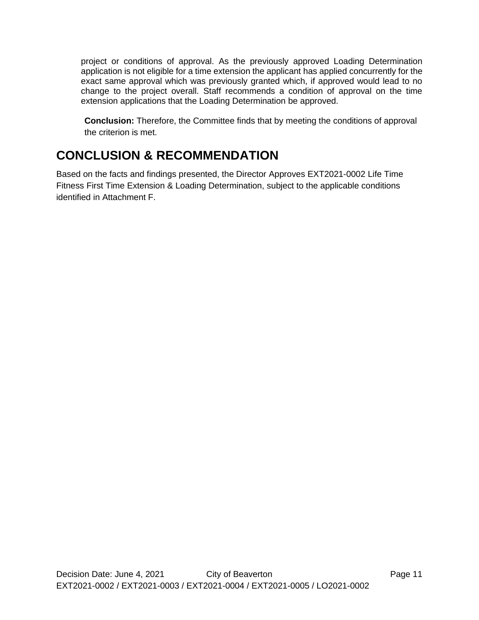project or conditions of approval. As the previously approved Loading Determination application is not eligible for a time extension the applicant has applied concurrently for the exact same approval which was previously granted which, if approved would lead to no change to the project overall. Staff recommends a condition of approval on the time extension applications that the Loading Determination be approved.

**Conclusion:** Therefore, the Committee finds that by meeting the conditions of approval the criterion is met.

# **CONCLUSION & RECOMMENDATION**

Based on the facts and findings presented, the Director Approves EXT2021-0002 Life Time Fitness First Time Extension & Loading Determination, subject to the applicable conditions identified in Attachment F.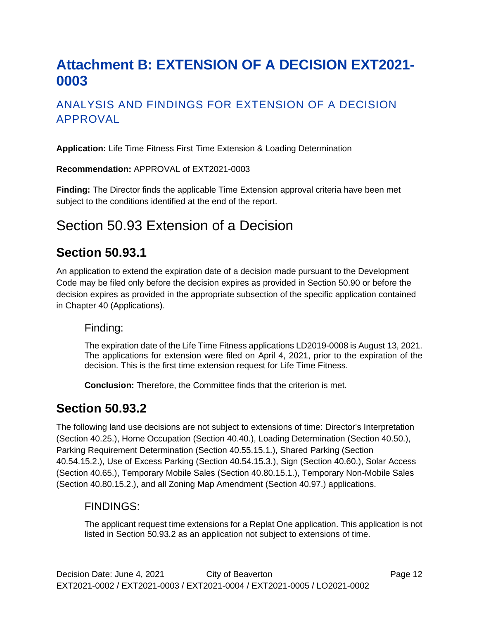# <span id="page-13-0"></span>**Attachment B: EXTENSION OF A DECISION EXT2021- 0003**

## ANALYSIS AND FINDINGS FOR EXTENSION OF A DECISION APPROVAL

**Application:** Life Time Fitness First Time Extension & Loading Determination

**Recommendation:** APPROVAL of EXT2021-0003

**Finding:** The Director finds the applicable Time Extension approval criteria have been met subject to the conditions identified at the end of the report.

# Section 50.93 Extension of a Decision

## **Section 50.93.1**

An application to extend the expiration date of a decision made pursuant to the Development Code may be filed only before the decision expires as provided in Section 50.90 or before the decision expires as provided in the appropriate subsection of the specific application contained in Chapter 40 (Applications).

#### Finding:

The expiration date of the Life Time Fitness applications LD2019-0008 is August 13, 2021. The applications for extension were filed on April 4, 2021, prior to the expiration of the decision. This is the first time extension request for Life Time Fitness.

**Conclusion:** Therefore, the Committee finds that the criterion is met.

## **Section 50.93.2**

The following land use decisions are not subject to extensions of time: Director's Interpretation (Section 40.25.), Home Occupation (Section 40.40.), Loading Determination (Section 40.50.), Parking Requirement Determination (Section 40.55.15.1.), Shared Parking (Section 40.54.15.2.), Use of Excess Parking (Section 40.54.15.3.), Sign (Section 40.60.), Solar Access (Section 40.65.), Temporary Mobile Sales (Section 40.80.15.1.), Temporary Non-Mobile Sales (Section 40.80.15.2.), and all Zoning Map Amendment (Section 40.97.) applications.

#### FINDINGS:

The applicant request time extensions for a Replat One application. This application is not listed in Section 50.93.2 as an application not subject to extensions of time.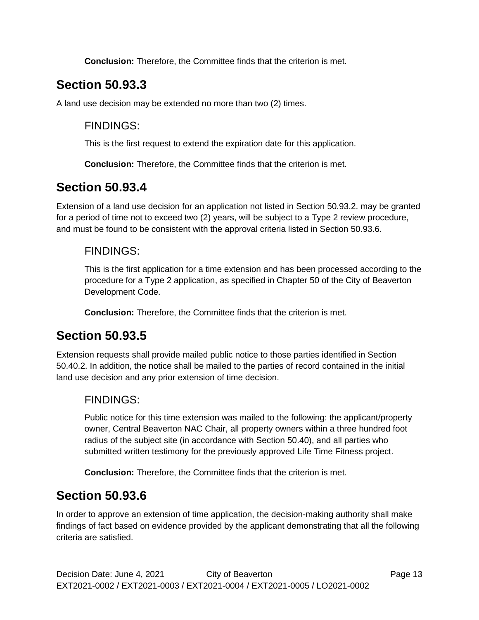**Conclusion:** Therefore, the Committee finds that the criterion is met.

# **Section 50.93.3**

A land use decision may be extended no more than two (2) times.

### FINDINGS:

This is the first request to extend the expiration date for this application.

**Conclusion:** Therefore, the Committee finds that the criterion is met.

## **Section 50.93.4**

Extension of a land use decision for an application not listed in Section 50.93.2. may be granted for a period of time not to exceed two (2) years, will be subject to a Type 2 review procedure, and must be found to be consistent with the approval criteria listed in Section 50.93.6.

### FINDINGS:

This is the first application for a time extension and has been processed according to the procedure for a Type 2 application, as specified in Chapter 50 of the City of Beaverton Development Code.

**Conclusion:** Therefore, the Committee finds that the criterion is met.

## **Section 50.93.5**

Extension requests shall provide mailed public notice to those parties identified in Section 50.40.2. In addition, the notice shall be mailed to the parties of record contained in the initial land use decision and any prior extension of time decision.

### FINDINGS:

Public notice for this time extension was mailed to the following: the applicant/property owner, Central Beaverton NAC Chair, all property owners within a three hundred foot radius of the subject site (in accordance with Section 50.40), and all parties who submitted written testimony for the previously approved Life Time Fitness project.

**Conclusion:** Therefore, the Committee finds that the criterion is met.

## **Section 50.93.6**

In order to approve an extension of time application, the decision-making authority shall make findings of fact based on evidence provided by the applicant demonstrating that all the following criteria are satisfied.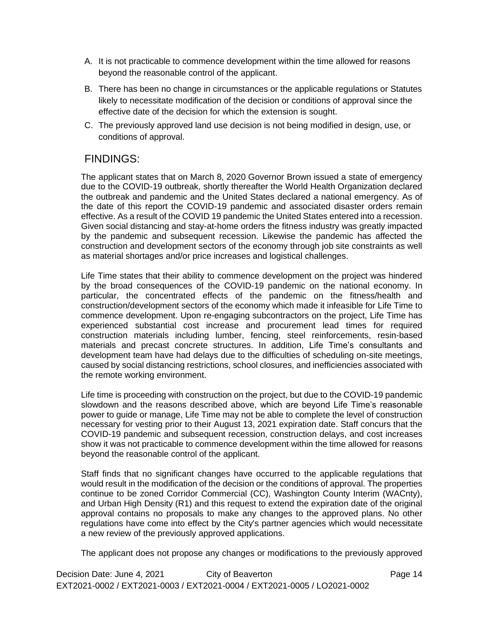- A. It is not practicable to commence development within the time allowed for reasons beyond the reasonable control of the applicant.
- B. There has been no change in circumstances or the applicable regulations or Statutes likely to necessitate modification of the decision or conditions of approval since the effective date of the decision for which the extension is sought.
- C. The previously approved land use decision is not being modified in design, use, or conditions of approval.

## FINDINGS:

The applicant states that on March 8, 2020 Governor Brown issued a state of emergency due to the COVID-19 outbreak, shortly thereafter the World Health Organization declared the outbreak and pandemic and the United States declared a national emergency. As of the date of this report the COVID-19 pandemic and associated disaster orders remain effective. As a result of the COVID 19 pandemic the United States entered into a recession. Given social distancing and stay-at-home orders the fitness industry was greatly impacted by the pandemic and subsequent recession. Likewise the pandemic has affected the construction and development sectors of the economy through job site constraints as well as material shortages and/or price increases and logistical challenges.

Life Time states that their ability to commence development on the project was hindered by the broad consequences of the COVID-19 pandemic on the national economy. In particular, the concentrated effects of the pandemic on the fitness/health and construction/development sectors of the economy which made it infeasible for Life Time to commence development. Upon re-engaging subcontractors on the project, Life Time has experienced substantial cost increase and procurement lead times for required construction materials including lumber, fencing, steel reinforcements, resin-based materials and precast concrete structures. In addition, Life Time's consultants and development team have had delays due to the difficulties of scheduling on-site meetings, caused by social distancing restrictions, school closures, and inefficiencies associated with the remote working environment.

Life time is proceeding with construction on the project, but due to the COVID-19 pandemic slowdown and the reasons described above, which are beyond Life Time's reasonable power to guide or manage, Life Time may not be able to complete the level of construction necessary for vesting prior to their August 13, 2021 expiration date. Staff concurs that the COVID-19 pandemic and subsequent recession, construction delays, and cost increases show it was not practicable to commence development within the time allowed for reasons beyond the reasonable control of the applicant.

Staff finds that no significant changes have occurred to the applicable regulations that would result in the modification of the decision or the conditions of approval. The properties continue to be zoned Corridor Commercial (CC), Washington County Interim (WACnty), and Urban High Density (R1) and this request to extend the expiration date of the original approval contains no proposals to make any changes to the approved plans. No other regulations have come into effect by the City's partner agencies which would necessitate a new review of the previously approved applications.

The applicant does not propose any changes or modifications to the previously approved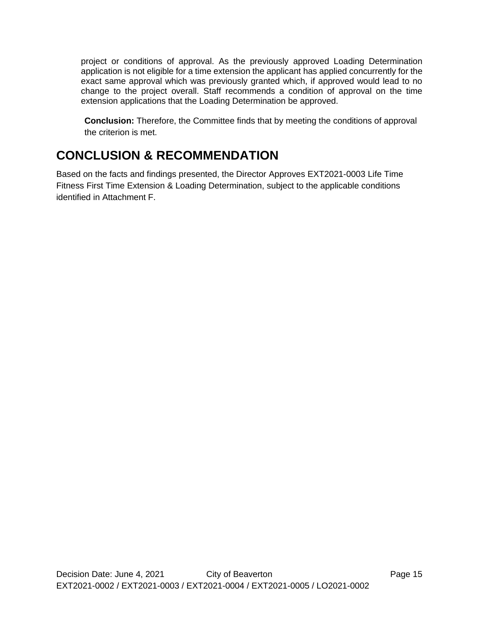project or conditions of approval. As the previously approved Loading Determination application is not eligible for a time extension the applicant has applied concurrently for the exact same approval which was previously granted which, if approved would lead to no change to the project overall. Staff recommends a condition of approval on the time extension applications that the Loading Determination be approved.

**Conclusion:** Therefore, the Committee finds that by meeting the conditions of approval the criterion is met.

# **CONCLUSION & RECOMMENDATION**

Based on the facts and findings presented, the Director Approves EXT2021-0003 Life Time Fitness First Time Extension & Loading Determination, subject to the applicable conditions identified in Attachment F.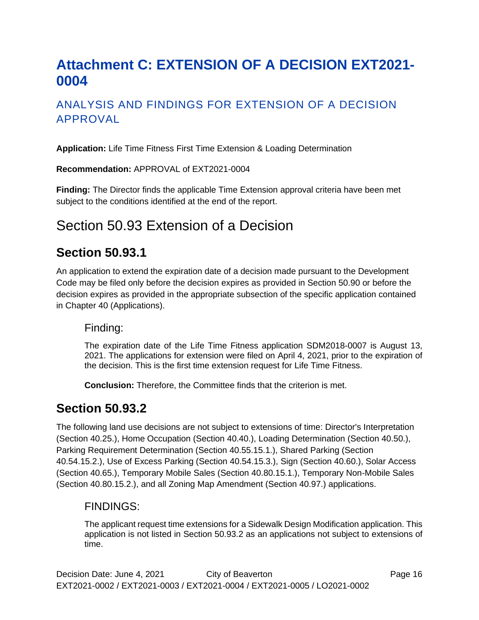# <span id="page-17-0"></span>**Attachment C: EXTENSION OF A DECISION EXT2021- 0004**

## ANALYSIS AND FINDINGS FOR EXTENSION OF A DECISION APPROVAL

**Application:** Life Time Fitness First Time Extension & Loading Determination

**Recommendation:** APPROVAL of EXT2021-0004

**Finding:** The Director finds the applicable Time Extension approval criteria have been met subject to the conditions identified at the end of the report.

# Section 50.93 Extension of a Decision

## **Section 50.93.1**

An application to extend the expiration date of a decision made pursuant to the Development Code may be filed only before the decision expires as provided in Section 50.90 or before the decision expires as provided in the appropriate subsection of the specific application contained in Chapter 40 (Applications).

#### Finding:

The expiration date of the Life Time Fitness application SDM2018-0007 is August 13, 2021. The applications for extension were filed on April 4, 2021, prior to the expiration of the decision. This is the first time extension request for Life Time Fitness.

**Conclusion:** Therefore, the Committee finds that the criterion is met.

## **Section 50.93.2**

The following land use decisions are not subject to extensions of time: Director's Interpretation (Section 40.25.), Home Occupation (Section 40.40.), Loading Determination (Section 40.50.), Parking Requirement Determination (Section 40.55.15.1.), Shared Parking (Section 40.54.15.2.), Use of Excess Parking (Section 40.54.15.3.), Sign (Section 40.60.), Solar Access (Section 40.65.), Temporary Mobile Sales (Section 40.80.15.1.), Temporary Non-Mobile Sales (Section 40.80.15.2.), and all Zoning Map Amendment (Section 40.97.) applications.

#### FINDINGS:

The applicant request time extensions for a Sidewalk Design Modification application. This application is not listed in Section 50.93.2 as an applications not subject to extensions of time.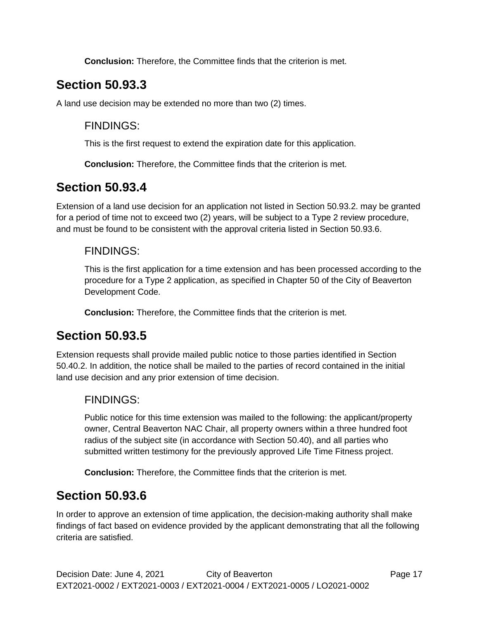**Conclusion:** Therefore, the Committee finds that the criterion is met.

# **Section 50.93.3**

A land use decision may be extended no more than two (2) times.

### FINDINGS:

This is the first request to extend the expiration date for this application.

**Conclusion:** Therefore, the Committee finds that the criterion is met.

## **Section 50.93.4**

Extension of a land use decision for an application not listed in Section 50.93.2. may be granted for a period of time not to exceed two (2) years, will be subject to a Type 2 review procedure, and must be found to be consistent with the approval criteria listed in Section 50.93.6.

### FINDINGS:

This is the first application for a time extension and has been processed according to the procedure for a Type 2 application, as specified in Chapter 50 of the City of Beaverton Development Code.

**Conclusion:** Therefore, the Committee finds that the criterion is met.

## **Section 50.93.5**

Extension requests shall provide mailed public notice to those parties identified in Section 50.40.2. In addition, the notice shall be mailed to the parties of record contained in the initial land use decision and any prior extension of time decision.

### FINDINGS:

Public notice for this time extension was mailed to the following: the applicant/property owner, Central Beaverton NAC Chair, all property owners within a three hundred foot radius of the subject site (in accordance with Section 50.40), and all parties who submitted written testimony for the previously approved Life Time Fitness project.

**Conclusion:** Therefore, the Committee finds that the criterion is met.

## **Section 50.93.6**

In order to approve an extension of time application, the decision-making authority shall make findings of fact based on evidence provided by the applicant demonstrating that all the following criteria are satisfied.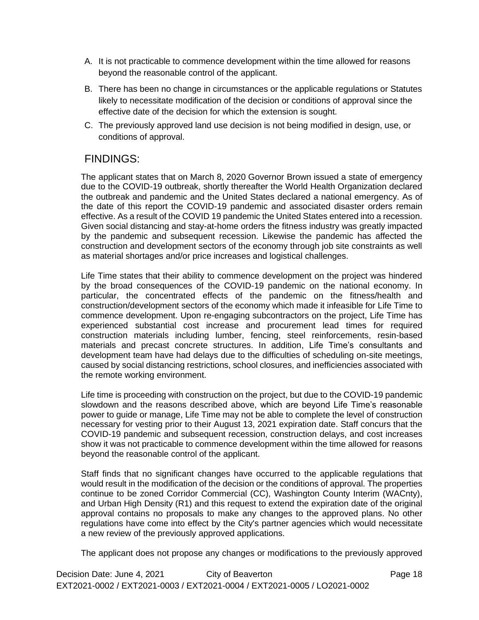- A. It is not practicable to commence development within the time allowed for reasons beyond the reasonable control of the applicant.
- B. There has been no change in circumstances or the applicable regulations or Statutes likely to necessitate modification of the decision or conditions of approval since the effective date of the decision for which the extension is sought.
- C. The previously approved land use decision is not being modified in design, use, or conditions of approval.

## FINDINGS:

The applicant states that on March 8, 2020 Governor Brown issued a state of emergency due to the COVID-19 outbreak, shortly thereafter the World Health Organization declared the outbreak and pandemic and the United States declared a national emergency. As of the date of this report the COVID-19 pandemic and associated disaster orders remain effective. As a result of the COVID 19 pandemic the United States entered into a recession. Given social distancing and stay-at-home orders the fitness industry was greatly impacted by the pandemic and subsequent recession. Likewise the pandemic has affected the construction and development sectors of the economy through job site constraints as well as material shortages and/or price increases and logistical challenges.

Life Time states that their ability to commence development on the project was hindered by the broad consequences of the COVID-19 pandemic on the national economy. In particular, the concentrated effects of the pandemic on the fitness/health and construction/development sectors of the economy which made it infeasible for Life Time to commence development. Upon re-engaging subcontractors on the project, Life Time has experienced substantial cost increase and procurement lead times for required construction materials including lumber, fencing, steel reinforcements, resin-based materials and precast concrete structures. In addition, Life Time's consultants and development team have had delays due to the difficulties of scheduling on-site meetings, caused by social distancing restrictions, school closures, and inefficiencies associated with the remote working environment.

Life time is proceeding with construction on the project, but due to the COVID-19 pandemic slowdown and the reasons described above, which are beyond Life Time's reasonable power to guide or manage, Life Time may not be able to complete the level of construction necessary for vesting prior to their August 13, 2021 expiration date. Staff concurs that the COVID-19 pandemic and subsequent recession, construction delays, and cost increases show it was not practicable to commence development within the time allowed for reasons beyond the reasonable control of the applicant.

Staff finds that no significant changes have occurred to the applicable regulations that would result in the modification of the decision or the conditions of approval. The properties continue to be zoned Corridor Commercial (CC), Washington County Interim (WACnty), and Urban High Density (R1) and this request to extend the expiration date of the original approval contains no proposals to make any changes to the approved plans. No other regulations have come into effect by the City's partner agencies which would necessitate a new review of the previously approved applications.

The applicant does not propose any changes or modifications to the previously approved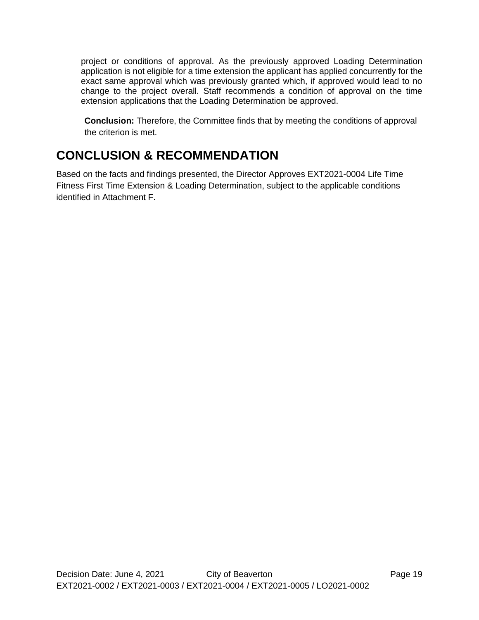project or conditions of approval. As the previously approved Loading Determination application is not eligible for a time extension the applicant has applied concurrently for the exact same approval which was previously granted which, if approved would lead to no change to the project overall. Staff recommends a condition of approval on the time extension applications that the Loading Determination be approved.

**Conclusion:** Therefore, the Committee finds that by meeting the conditions of approval the criterion is met.

# **CONCLUSION & RECOMMENDATION**

Based on the facts and findings presented, the Director Approves EXT2021-0004 Life Time Fitness First Time Extension & Loading Determination, subject to the applicable conditions identified in Attachment F.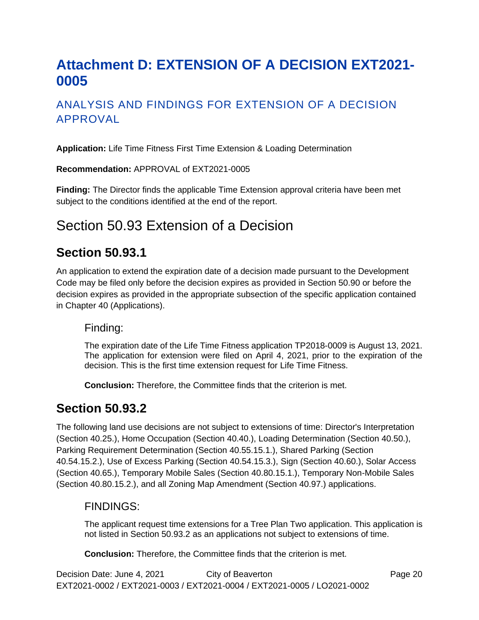# <span id="page-21-0"></span>**Attachment D: EXTENSION OF A DECISION EXT2021- 0005**

## ANALYSIS AND FINDINGS FOR EXTENSION OF A DECISION APPROVAL

**Application:** Life Time Fitness First Time Extension & Loading Determination

**Recommendation:** APPROVAL of EXT2021-0005

**Finding:** The Director finds the applicable Time Extension approval criteria have been met subject to the conditions identified at the end of the report.

# Section 50.93 Extension of a Decision

## **Section 50.93.1**

An application to extend the expiration date of a decision made pursuant to the Development Code may be filed only before the decision expires as provided in Section 50.90 or before the decision expires as provided in the appropriate subsection of the specific application contained in Chapter 40 (Applications).

#### Finding:

The expiration date of the Life Time Fitness application TP2018-0009 is August 13, 2021. The application for extension were filed on April 4, 2021, prior to the expiration of the decision. This is the first time extension request for Life Time Fitness.

**Conclusion:** Therefore, the Committee finds that the criterion is met.

## **Section 50.93.2**

The following land use decisions are not subject to extensions of time: Director's Interpretation (Section 40.25.), Home Occupation (Section 40.40.), Loading Determination (Section 40.50.), Parking Requirement Determination (Section 40.55.15.1.), Shared Parking (Section 40.54.15.2.), Use of Excess Parking (Section 40.54.15.3.), Sign (Section 40.60.), Solar Access (Section 40.65.), Temporary Mobile Sales (Section 40.80.15.1.), Temporary Non-Mobile Sales (Section 40.80.15.2.), and all Zoning Map Amendment (Section 40.97.) applications.

#### FINDINGS:

The applicant request time extensions for a Tree Plan Two application. This application is not listed in Section 50.93.2 as an applications not subject to extensions of time.

**Conclusion:** Therefore, the Committee finds that the criterion is met.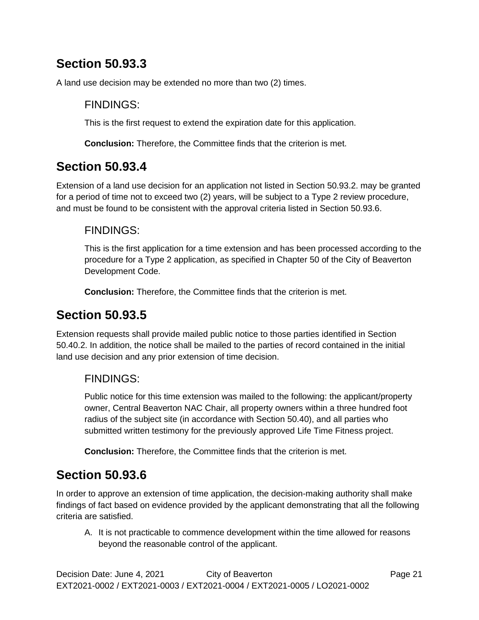# **Section 50.93.3**

A land use decision may be extended no more than two (2) times.

### FINDINGS:

This is the first request to extend the expiration date for this application.

**Conclusion:** Therefore, the Committee finds that the criterion is met.

# **Section 50.93.4**

Extension of a land use decision for an application not listed in Section 50.93.2. may be granted for a period of time not to exceed two (2) years, will be subject to a Type 2 review procedure, and must be found to be consistent with the approval criteria listed in Section 50.93.6.

## FINDINGS:

This is the first application for a time extension and has been processed according to the procedure for a Type 2 application, as specified in Chapter 50 of the City of Beaverton Development Code.

**Conclusion:** Therefore, the Committee finds that the criterion is met.

# **Section 50.93.5**

Extension requests shall provide mailed public notice to those parties identified in Section 50.40.2. In addition, the notice shall be mailed to the parties of record contained in the initial land use decision and any prior extension of time decision.

## FINDINGS:

Public notice for this time extension was mailed to the following: the applicant/property owner, Central Beaverton NAC Chair, all property owners within a three hundred foot radius of the subject site (in accordance with Section 50.40), and all parties who submitted written testimony for the previously approved Life Time Fitness project.

**Conclusion:** Therefore, the Committee finds that the criterion is met.

# **Section 50.93.6**

In order to approve an extension of time application, the decision-making authority shall make findings of fact based on evidence provided by the applicant demonstrating that all the following criteria are satisfied.

A. It is not practicable to commence development within the time allowed for reasons beyond the reasonable control of the applicant.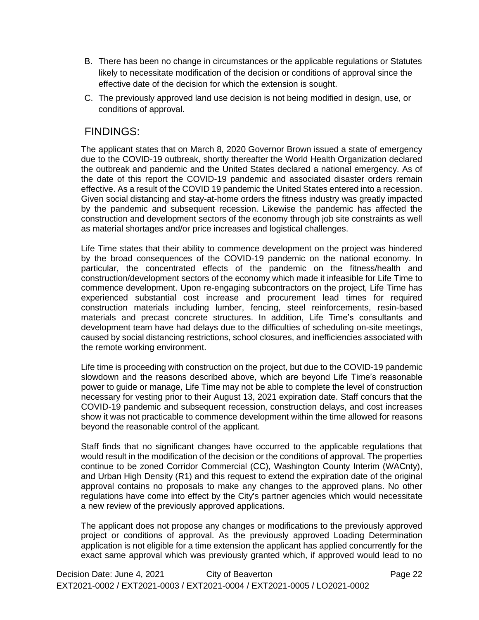- B. There has been no change in circumstances or the applicable regulations or Statutes likely to necessitate modification of the decision or conditions of approval since the effective date of the decision for which the extension is sought.
- C. The previously approved land use decision is not being modified in design, use, or conditions of approval.

#### FINDINGS:

The applicant states that on March 8, 2020 Governor Brown issued a state of emergency due to the COVID-19 outbreak, shortly thereafter the World Health Organization declared the outbreak and pandemic and the United States declared a national emergency. As of the date of this report the COVID-19 pandemic and associated disaster orders remain effective. As a result of the COVID 19 pandemic the United States entered into a recession. Given social distancing and stay-at-home orders the fitness industry was greatly impacted by the pandemic and subsequent recession. Likewise the pandemic has affected the construction and development sectors of the economy through job site constraints as well as material shortages and/or price increases and logistical challenges.

Life Time states that their ability to commence development on the project was hindered by the broad consequences of the COVID-19 pandemic on the national economy. In particular, the concentrated effects of the pandemic on the fitness/health and construction/development sectors of the economy which made it infeasible for Life Time to commence development. Upon re-engaging subcontractors on the project, Life Time has experienced substantial cost increase and procurement lead times for required construction materials including lumber, fencing, steel reinforcements, resin-based materials and precast concrete structures. In addition, Life Time's consultants and development team have had delays due to the difficulties of scheduling on-site meetings, caused by social distancing restrictions, school closures, and inefficiencies associated with the remote working environment.

Life time is proceeding with construction on the project, but due to the COVID-19 pandemic slowdown and the reasons described above, which are beyond Life Time's reasonable power to guide or manage, Life Time may not be able to complete the level of construction necessary for vesting prior to their August 13, 2021 expiration date. Staff concurs that the COVID-19 pandemic and subsequent recession, construction delays, and cost increases show it was not practicable to commence development within the time allowed for reasons beyond the reasonable control of the applicant.

Staff finds that no significant changes have occurred to the applicable regulations that would result in the modification of the decision or the conditions of approval. The properties continue to be zoned Corridor Commercial (CC), Washington County Interim (WACnty), and Urban High Density (R1) and this request to extend the expiration date of the original approval contains no proposals to make any changes to the approved plans. No other regulations have come into effect by the City's partner agencies which would necessitate a new review of the previously approved applications.

The applicant does not propose any changes or modifications to the previously approved project or conditions of approval. As the previously approved Loading Determination application is not eligible for a time extension the applicant has applied concurrently for the exact same approval which was previously granted which, if approved would lead to no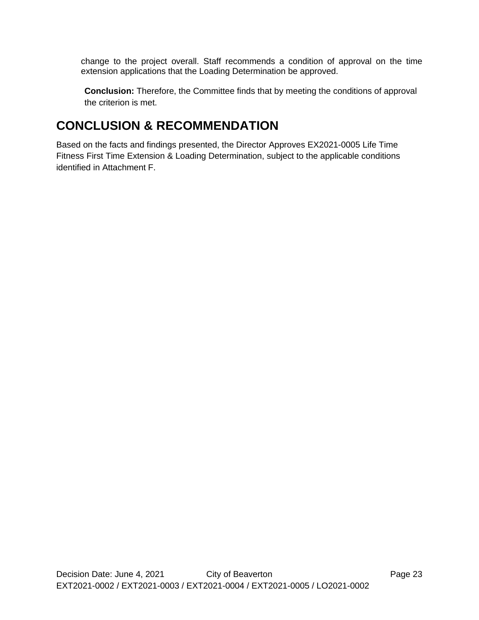change to the project overall. Staff recommends a condition of approval on the time extension applications that the Loading Determination be approved.

**Conclusion:** Therefore, the Committee finds that by meeting the conditions of approval the criterion is met.

# **CONCLUSION & RECOMMENDATION**

Based on the facts and findings presented, the Director Approves EX2021-0005 Life Time Fitness First Time Extension & Loading Determination, subject to the applicable conditions identified in Attachment F.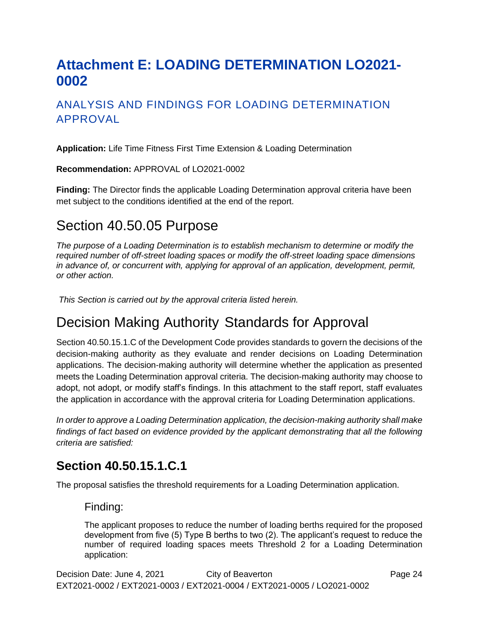# <span id="page-25-0"></span>**Attachment E: LOADING DETERMINATION LO2021- 0002**

## ANALYSIS AND FINDINGS FOR LOADING DETERMINATION APPROVAL

**Application:** Life Time Fitness First Time Extension & Loading Determination

**Recommendation:** APPROVAL of LO2021-0002

**Finding:** The Director finds the applicable Loading Determination approval criteria have been met subject to the conditions identified at the end of the report.

## Section 40.50.05 Purpose

*The purpose of a Loading Determination is to establish mechanism to determine or modify the required number of off-street loading spaces or modify the off-street loading space dimensions*  in advance of, or concurrent with, applying for approval of an application, development, permit, *or other action.*

*This Section is carried out by the approval criteria listed herein.*

## Decision Making Authority Standards for Approval

Section 40.50.15.1.C of the Development Code provides standards to govern the decisions of the decision-making authority as they evaluate and render decisions on Loading Determination applications. The decision-making authority will determine whether the application as presented meets the Loading Determination approval criteria. The decision-making authority may choose to adopt, not adopt, or modify staff's findings. In this attachment to the staff report, staff evaluates the application in accordance with the approval criteria for Loading Determination applications.

*In order to approve a Loading Determination application, the decision-making authority shall make findings of fact based on evidence provided by the applicant demonstrating that all the following criteria are satisfied:*

## **Section 40.50.15.1.C.1**

The proposal satisfies the threshold requirements for a Loading Determination application.

#### Finding:

The applicant proposes to reduce the number of loading berths required for the proposed development from five (5) Type B berths to two (2). The applicant's request to reduce the number of required loading spaces meets Threshold 2 for a Loading Determination application: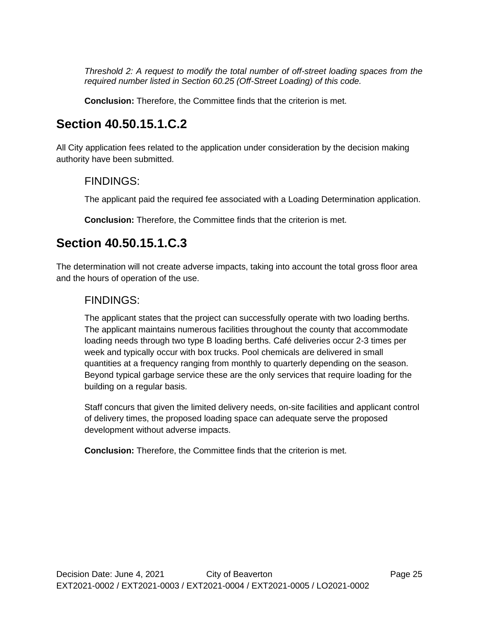*Threshold 2: A request to modify the total number of off-street loading spaces from the required number listed in Section 60.25 (Off-Street Loading) of this code.*

**Conclusion:** Therefore, the Committee finds that the criterion is met.

## **Section 40.50.15.1.C.2**

All City application fees related to the application under consideration by the decision making authority have been submitted.

#### FINDINGS:

The applicant paid the required fee associated with a Loading Determination application.

**Conclusion:** Therefore, the Committee finds that the criterion is met.

## **Section 40.50.15.1.C.3**

The determination will not create adverse impacts, taking into account the total gross floor area and the hours of operation of the use.

### FINDINGS:

The applicant states that the project can successfully operate with two loading berths. The applicant maintains numerous facilities throughout the county that accommodate loading needs through two type B loading berths. Café deliveries occur 2-3 times per week and typically occur with box trucks. Pool chemicals are delivered in small quantities at a frequency ranging from monthly to quarterly depending on the season. Beyond typical garbage service these are the only services that require loading for the building on a regular basis.

Staff concurs that given the limited delivery needs, on-site facilities and applicant control of delivery times, the proposed loading space can adequate serve the proposed development without adverse impacts.

**Conclusion:** Therefore, the Committee finds that the criterion is met.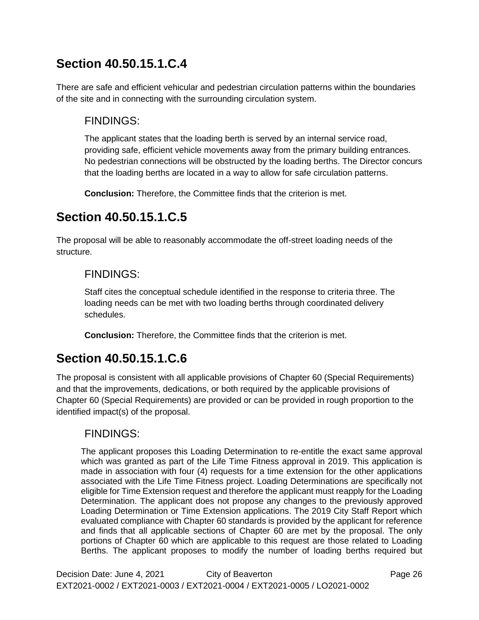# **Section 40.50.15.1.C.4**

There are safe and efficient vehicular and pedestrian circulation patterns within the boundaries of the site and in connecting with the surrounding circulation system.

## FINDINGS:

The applicant states that the loading berth is served by an internal service road, providing safe, efficient vehicle movements away from the primary building entrances. No pedestrian connections will be obstructed by the loading berths. The Director concurs that the loading berths are located in a way to allow for safe circulation patterns.

**Conclusion:** Therefore, the Committee finds that the criterion is met.

# **Section 40.50.15.1.C.5**

The proposal will be able to reasonably accommodate the off-street loading needs of the structure.

## FINDINGS:

Staff cites the conceptual schedule identified in the response to criteria three. The loading needs can be met with two loading berths through coordinated delivery schedules.

**Conclusion:** Therefore, the Committee finds that the criterion is met.

# **Section 40.50.15.1.C.6**

The proposal is consistent with all applicable provisions of Chapter 60 (Special Requirements) and that the improvements, dedications, or both required by the applicable provisions of Chapter 60 (Special Requirements) are provided or can be provided in rough proportion to the identified impact(s) of the proposal.

## FINDINGS:

The applicant proposes this Loading Determination to re-entitle the exact same approval which was granted as part of the Life Time Fitness approval in 2019. This application is made in association with four (4) requests for a time extension for the other applications associated with the Life Time Fitness project. Loading Determinations are specifically not eligible for Time Extension request and therefore the applicant must reapply for the Loading Determination. The applicant does not propose any changes to the previously approved Loading Determination or Time Extension applications. The 2019 City Staff Report which evaluated compliance with Chapter 60 standards is provided by the applicant for reference and finds that all applicable sections of Chapter 60 are met by the proposal. The only portions of Chapter 60 which are applicable to this request are those related to Loading Berths. The applicant proposes to modify the number of loading berths required but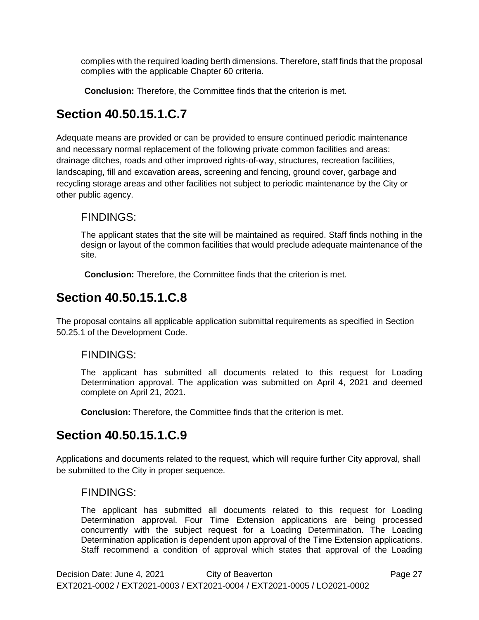complies with the required loading berth dimensions. Therefore, staff finds that the proposal complies with the applicable Chapter 60 criteria.

**Conclusion:** Therefore, the Committee finds that the criterion is met.

# **Section 40.50.15.1.C.7**

Adequate means are provided or can be provided to ensure continued periodic maintenance and necessary normal replacement of the following private common facilities and areas: drainage ditches, roads and other improved rights-of-way, structures, recreation facilities, landscaping, fill and excavation areas, screening and fencing, ground cover, garbage and recycling storage areas and other facilities not subject to periodic maintenance by the City or other public agency.

## FINDINGS:

The applicant states that the site will be maintained as required. Staff finds nothing in the design or layout of the common facilities that would preclude adequate maintenance of the site.

**Conclusion:** Therefore, the Committee finds that the criterion is met.

## **Section 40.50.15.1.C.8**

The proposal contains all applicable application submittal requirements as specified in Section 50.25.1 of the Development Code.

### FINDINGS:

The applicant has submitted all documents related to this request for Loading Determination approval. The application was submitted on April 4, 2021 and deemed complete on April 21, 2021.

**Conclusion:** Therefore, the Committee finds that the criterion is met.

## **Section 40.50.15.1.C.9**

Applications and documents related to the request, which will require further City approval, shall be submitted to the City in proper sequence.

#### FINDINGS:

The applicant has submitted all documents related to this request for Loading Determination approval. Four Time Extension applications are being processed concurrently with the subject request for a Loading Determination. The Loading Determination application is dependent upon approval of the Time Extension applications. Staff recommend a condition of approval which states that approval of the Loading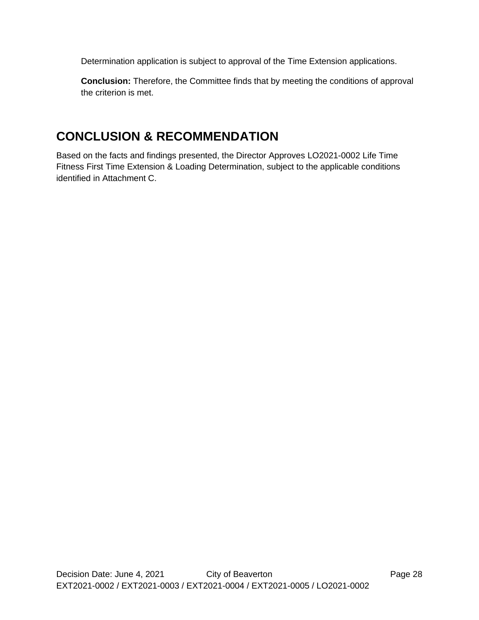Determination application is subject to approval of the Time Extension applications.

**Conclusion:** Therefore, the Committee finds that by meeting the conditions of approval the criterion is met.

## **CONCLUSION & RECOMMENDATION**

Based on the facts and findings presented, the Director Approves LO2021-0002 Life Time Fitness First Time Extension & Loading Determination, subject to the applicable conditions identified in Attachment C.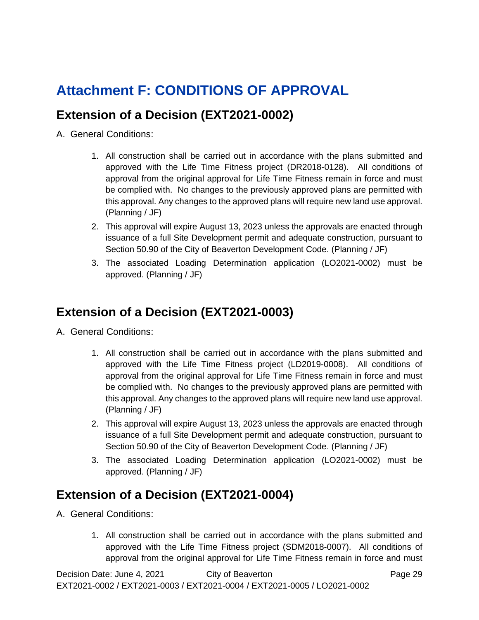# <span id="page-30-0"></span>**Attachment F: CONDITIONS OF APPROVAL**

## **Extension of a Decision (EXT2021-0002)**

- A. General Conditions:
	- 1. All construction shall be carried out in accordance with the plans submitted and approved with the Life Time Fitness project (DR2018-0128). All conditions of approval from the original approval for Life Time Fitness remain in force and must be complied with. No changes to the previously approved plans are permitted with this approval. Any changes to the approved plans will require new land use approval. (Planning / JF)
	- 2. This approval will expire August 13, 2023 unless the approvals are enacted through issuance of a full Site Development permit and adequate construction, pursuant to Section 50.90 of the City of Beaverton Development Code. (Planning / JF)
	- 3. The associated Loading Determination application (LO2021-0002) must be approved. (Planning / JF)

## **Extension of a Decision (EXT2021-0003)**

- A. General Conditions:
	- 1. All construction shall be carried out in accordance with the plans submitted and approved with the Life Time Fitness project (LD2019-0008). All conditions of approval from the original approval for Life Time Fitness remain in force and must be complied with. No changes to the previously approved plans are permitted with this approval. Any changes to the approved plans will require new land use approval. (Planning / JF)
	- 2. This approval will expire August 13, 2023 unless the approvals are enacted through issuance of a full Site Development permit and adequate construction, pursuant to Section 50.90 of the City of Beaverton Development Code. (Planning / JF)
	- 3. The associated Loading Determination application (LO2021-0002) must be approved. (Planning / JF)

## **Extension of a Decision (EXT2021-0004)**

- A. General Conditions:
	- 1. All construction shall be carried out in accordance with the plans submitted and approved with the Life Time Fitness project (SDM2018-0007). All conditions of approval from the original approval for Life Time Fitness remain in force and must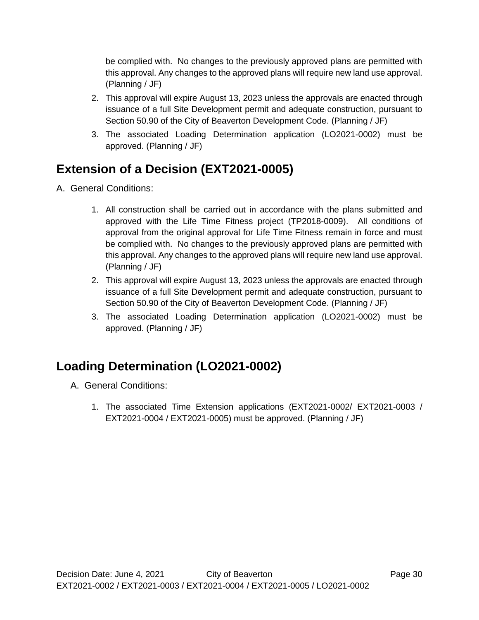be complied with. No changes to the previously approved plans are permitted with this approval. Any changes to the approved plans will require new land use approval. (Planning / JF)

- 2. This approval will expire August 13, 2023 unless the approvals are enacted through issuance of a full Site Development permit and adequate construction, pursuant to Section 50.90 of the City of Beaverton Development Code. (Planning / JF)
- 3. The associated Loading Determination application (LO2021-0002) must be approved. (Planning / JF)

# **Extension of a Decision (EXT2021-0005)**

- A. General Conditions:
	- 1. All construction shall be carried out in accordance with the plans submitted and approved with the Life Time Fitness project (TP2018-0009). All conditions of approval from the original approval for Life Time Fitness remain in force and must be complied with. No changes to the previously approved plans are permitted with this approval. Any changes to the approved plans will require new land use approval. (Planning / JF)
	- 2. This approval will expire August 13, 2023 unless the approvals are enacted through issuance of a full Site Development permit and adequate construction, pursuant to Section 50.90 of the City of Beaverton Development Code. (Planning / JF)
	- 3. The associated Loading Determination application (LO2021-0002) must be approved. (Planning / JF)

# **Loading Determination (LO2021-0002)**

- A. General Conditions:
	- 1. The associated Time Extension applications (EXT2021-0002/ EXT2021-0003 / EXT2021-0004 / EXT2021-0005) must be approved. (Planning / JF)